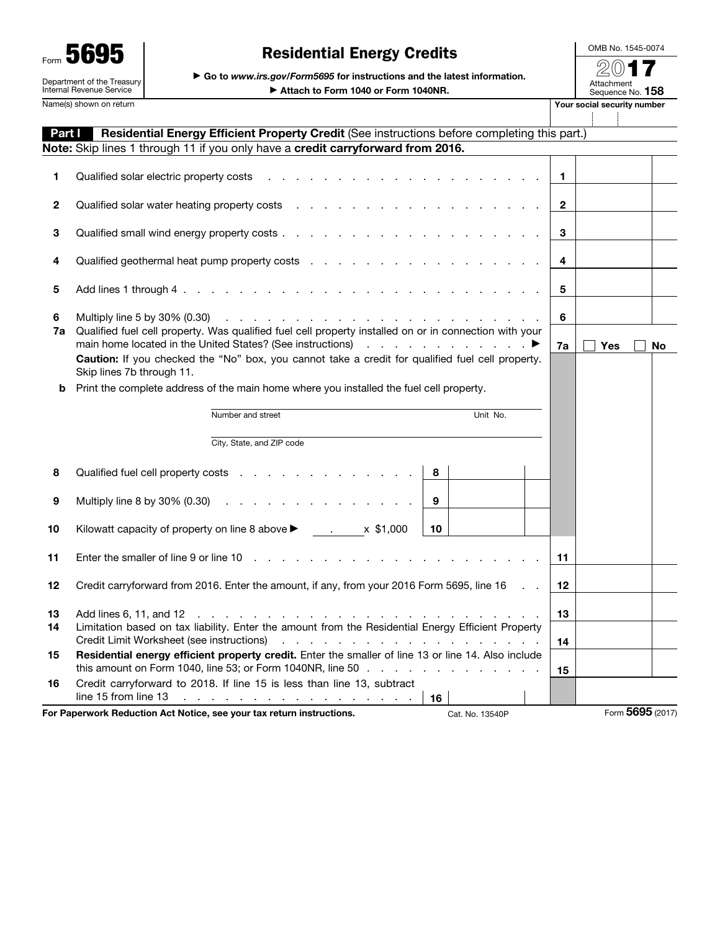| 6<br>Form                                              |
|--------------------------------------------------------|
| Department of the Treasury<br>Internal Revenue Service |

## Residential Energy Credits

▶ Go to *www.irs.gov/Form5695* for instructions and the latest information.

OMB No. 1545-0074 2017 Attachment<br>Sequence No. **158** Your social security number

4

÷

| Name(s) shown on return |  |  |
|-------------------------|--|--|
|-------------------------|--|--|

▶ Attach to Form 1040 or Form 1040NR.

| Part I       | Residential Energy Efficient Property Credit (See instructions before completing this part.)                                                                                                                                                                                                                                                                                                                                                                                                                                                  |                |                  |    |
|--------------|-----------------------------------------------------------------------------------------------------------------------------------------------------------------------------------------------------------------------------------------------------------------------------------------------------------------------------------------------------------------------------------------------------------------------------------------------------------------------------------------------------------------------------------------------|----------------|------------------|----|
|              | Note: Skip lines 1 through 11 if you only have a credit carryforward from 2016.                                                                                                                                                                                                                                                                                                                                                                                                                                                               |                |                  |    |
| 1            | Qualified solar electric property costs                                                                                                                                                                                                                                                                                                                                                                                                                                                                                                       | 1.             |                  |    |
| $\mathbf{2}$ |                                                                                                                                                                                                                                                                                                                                                                                                                                                                                                                                               | $\overline{2}$ |                  |    |
| 3            |                                                                                                                                                                                                                                                                                                                                                                                                                                                                                                                                               | 3              |                  |    |
| 4            |                                                                                                                                                                                                                                                                                                                                                                                                                                                                                                                                               | 4              |                  |    |
| 5            |                                                                                                                                                                                                                                                                                                                                                                                                                                                                                                                                               | 5              |                  |    |
| 6<br>7a      | Multiply line 5 by 30% (0.30)<br>relative to the contract of the contract of the contract of the contract of the contract of the contract of the<br>Qualified fuel cell property. Was qualified fuel cell property installed on or in connection with your<br>main home located in the United States? (See instructions) enter a controller controller to the state of the United States? (See instructions)<br>Caution: If you checked the "No" box, you cannot take a credit for qualified fuel cell property.<br>Skip lines 7b through 11. | 6<br>7a        | Yes              | No |
|              | <b>b</b> Print the complete address of the main home where you installed the fuel cell property.                                                                                                                                                                                                                                                                                                                                                                                                                                              |                |                  |    |
|              |                                                                                                                                                                                                                                                                                                                                                                                                                                                                                                                                               |                |                  |    |
|              | Number and street<br>Unit No.                                                                                                                                                                                                                                                                                                                                                                                                                                                                                                                 |                |                  |    |
|              | City, State, and ZIP code                                                                                                                                                                                                                                                                                                                                                                                                                                                                                                                     |                |                  |    |
| 8            | Qualified fuel cell property costs<br>8                                                                                                                                                                                                                                                                                                                                                                                                                                                                                                       |                |                  |    |
| 9            | Multiply line 8 by 30% (0.30) $\ldots$ $\ldots$ $\ldots$ $\ldots$ $\ldots$<br>9                                                                                                                                                                                                                                                                                                                                                                                                                                                               |                |                  |    |
| 10           | Kilowatt capacity of property on line 8 above $\blacktriangleright$ . x \$1,000<br>10                                                                                                                                                                                                                                                                                                                                                                                                                                                         |                |                  |    |
| 11           | and the contract of the contract of the contract of the contract of the contract of the contract of the contract of the contract of the contract of the contract of the contract of the contract of the contract of the contra<br>Enter the smaller of line 9 or line 10                                                                                                                                                                                                                                                                      | 11             |                  |    |
| 12           | Credit carryforward from 2016. Enter the amount, if any, from your 2016 Form 5695, line 16                                                                                                                                                                                                                                                                                                                                                                                                                                                    | $12 \,$        |                  |    |
| 13<br>14     | Add lines 6, 11, and 12<br>and a series of the contract of the contract of the contract of the contract of the contract of the contract of<br>Limitation based on tax liability. Enter the amount from the Residential Energy Efficient Property<br>de la caractería de la caractería de la caractería<br>Credit Limit Worksheet (see instructions)                                                                                                                                                                                           | 13<br>14       |                  |    |
| 15           | Residential energy efficient property credit. Enter the smaller of line 13 or line 14. Also include<br>this amount on Form 1040, line 53; or Form 1040NR, line 50 $\ldots$                                                                                                                                                                                                                                                                                                                                                                    | 15             |                  |    |
| 16           | Credit carryforward to 2018. If line 15 is less than line 13, subtract<br>line 15 from line 13<br>and a construction of the construction of the con-<br>16                                                                                                                                                                                                                                                                                                                                                                                    |                |                  |    |
|              | For Paperwork Reduction Act Notice, see your tax return instructions.<br>Cat. No. 13540P                                                                                                                                                                                                                                                                                                                                                                                                                                                      |                | Form 5695 (2017) |    |